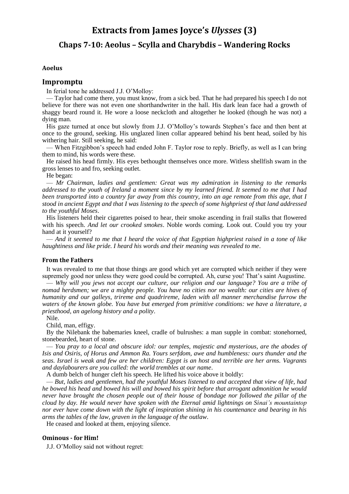# **Extracts from James Joyce's** *Ulysses* **(3)**

# **Chaps 7-10: Aeolus – Scylla and Charybdis – Wandering Rocks**

## **Aoelus**

# **Impromptu**

In ferial tone he addressed J.J. O'Molloy:

— Taylor had come there, you must know, from a sick bed. That he had prepared his speech I do not believe for there was not even one shorthandwriter in the hall. His dark lean face had a growth of shaggy beard round it. He wore a loose neckcloth and altogether he looked (though he was not) a dying man.

His gaze turned at once but slowly from J.J. O'Molloy's towards Stephen's face and then bent at once to the ground, seeking. His unglazed linen collar appeared behind his bent head, soiled by his withering hair. Still seeking, he said:

— When Fitzgibbon's speech had ended John F. Taylor rose to reply. Briefly, as well as I can bring them to mind, his words were these.

He raised his head firmly. His eyes bethought themselves once more. Witless shellfish swam in the gross lenses to and fro, seeking outlet.

He began:

— *Mr Chairman, ladies and gentlemen: Great was my admiration in listening to the remarks addressed to the youth of Ireland a moment since by my learned friend. It seemed to me that I had been transported into a country far away from this country, into an age remote from this age, that I stood in ancient Egypt and that I was listening to the speech of some highpriest of that land addressed to the youthful Moses*.

His listeners held their cigarettes poised to hear, their smoke ascending in frail stalks that flowered with his speech. *And let our crooked smokes*. Noble words coming. Look out. Could you try your hand at it yourself?

— *And it seemed to me that I heard the voice of that Egyptian highpriest raised in a tone of like haughtiness and like pride. I heard his words and their meaning was revealed to me*.

#### **From the Fathers**

It was revealed to me that those things are good which yet are corrupted which neither if they were supremely good nor unless they were good could be corrupted. Ah, curse you! That's saint Augustine.

— *Why will you jews not accept our culture, our religion and our language? You are a tribe of nomad herdsmen; we are a mighty people. You have no cities nor no wealth: our cities are hives of humanity and our galleys, trireme and quadrireme, laden with all manner merchandise furrow the waters of the known globe. You have but emerged from primitive conditions: we have a literature, a priesthood, an agelong history and a polity*.

Nile.

Child, man, effigy.

By the Nilebank the babemaries kneel, cradle of bulrushes: a man supple in combat: stonehorned, stonebearded, heart of stone.

— *You pray to a local and obscure idol: our temples, majestic and mysterious, are the abodes of Isis and Osiris, of Horus and Ammon Ra. Yours serfdom, awe and humbleness: ours thunder and the seas. Israel is weak and few are her children: Egypt is an host and terrible are her arms. Vagrants and daylabourers are you called: the world trembles at our name*.

A dumb belch of hunger cleft his speech. He lifted his voice above it boldly:

— *But, ladies and gentlemen, had the youthful Moses listened to and accepted that view of life, had he bowed his head and bowed his will and bowed his spirit before that arrogant admonition he would never have brought the chosen people out of their house of bondage nor followed the pillar of the cloud by day. He would never have spoken with the Eternal amid lightnings on Sinai's mountaintop nor ever have come down with the light of inspiration shining in his countenance and bearing in his arms the tables of the law, graven in the language of the outlaw*.

He ceased and looked at them, enjoying silence.

#### **Ominous - for Him!**

J.J. O'Molloy said not without regret: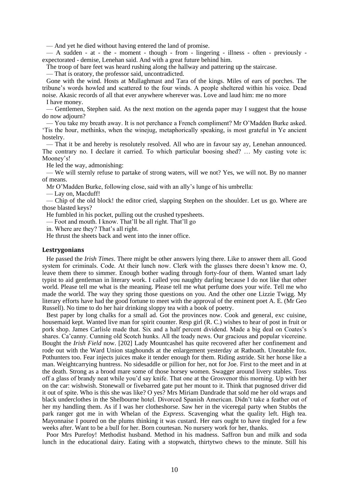— And yet he died without having entered the land of promise.

— A sudden - at - the - moment - though - from - lingering - illness - often - previously expectorated - demise, Lenehan said. And with a great future behind him.

The troop of bare feet was heard rushing along the hallway and pattering up the staircase.

— That is oratory, the professor said, uncontradicted.

Gone with the wind. Hosts at Mullaghmast and Tara of the kings. Miles of ears of porches. The tribune's words howled and scattered to the four winds. A people sheltered within his voice. Dead noise. Akasic records of all that ever anywhere wherever was. Love and laud him: me no more I have money.

— Gentlemen, Stephen said. As the next motion on the agenda paper may I suggest that the house do now adjourn?

— You take my breath away. It is not perchance a French compliment? Mr O'Madden Burke asked. 'Tis the hour, methinks, when the winejug, metaphorically speaking, is most grateful in Ye ancient hostelry.

— That it be and hereby is resolutely resolved. All who are in favour say ay, Lenehan announced. The contrary no. I declare it carried. To which particular boosing shed? … My casting vote is: Mooney's!

He led the way, admonishing:

— We will sternly refuse to partake of strong waters, will we not? Yes, we will not. By no manner of means.

Mr O'Madden Burke, following close, said with an ally's lunge of his umbrella:

— Lay on, Macduff!

— Chip of the old block! the editor cried, slapping Stephen on the shoulder. Let us go. Where are those blasted keys?

He fumbled in his pocket, pulling out the crushed typesheets.

— Foot and mouth. I know. That'll be all right. That'll go

in. Where are they? That's all right.

He thrust the sheets back and went into the inner office.

#### **Lestrygonians**

He passed the *Irish Times*. There might be other answers lying there. Like to answer them all. Good system for criminals. Code. At their lunch now. Clerk with the glasses there doesn't know me. O, leave them there to simmer. Enough bother wading through forty-four of them. Wanted smart lady typist to aid gentleman in literary work. I called you naughty darling because I do not like that other world. Please tell me what is the meaning. Please tell me what perfume does your wife. Tell me who made the world. The way they spring those questions on you. And the other one Lizzie Twigg. My literary efforts have had the good fortune to meet with the approval of the eminent poet A. E. (Mr Geo Russell). No time to do her hair drinking sloppy tea with a book of poetry.

Best paper by long chalks for a small ad. Got the provinces now. Cook and general, exc cuisine, housemaid kept. Wanted live man for spirit counter. Resp girl (R. C.) wishes to hear of post in fruit or pork shop. James Carlisle made that. Six and a half percent dividend. Made a big deal on Coates's shares. Ca'canny. Cunning old Scotch hunks. All the toady news. Our gracious and popular vicereine. Bought the *Irish Field* now. [202] Lady Mountcashel has quite recovered after her confinement and rode out with the Ward Union staghounds at the enlargement yesterday at Rathoath. Uneatable fox. Pothunters too. Fear injects juices make it tender enough for them. Riding astride. Sit her horse like a man. Weightcarrying huntress. No sidesaddle or pillion for her, not for Joe. First to the meet and in at the death. Strong as a brood mare some of those horsey women. Swagger around livery stables. Toss off a glass of brandy neat while you'd say knife. That one at the Grosvenor this morning. Up with her on the car: wishwish. Stonewall or fivebarred gate put her mount to it. Think that pugnosed driver did it out of spite. Who is this she was like? O yes? Mrs Miriam Dandrade that sold me her old wraps and black underclothes in the Shelbourne hotel. Divorced Spanish American. Didn't take a feather out of her my handling them. As if I was her clotheshorse. Saw her in the viceregal party when Stubbs the park ranger got me in with Whelan of the *Express*. Scavenging what the quality left. High tea. Mayonnaise I poured on the plums thinking it was custard. Her ears ought to have tingled for a few weeks after. Want to be a bull for her. Born courtesan. No nursery work for her, thanks.

Poor Mrs Purefoy! Methodist husband. Method in his madness. Saffron bun and milk and soda lunch in the educational dairy. Eating with a stopwatch, thirtytwo chews to the minute. Still his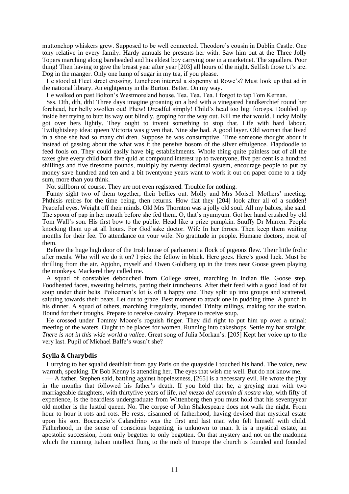muttonchop whiskers grew. Supposed to be well connected. Theodore's cousin in Dublin Castle. One tony relative in every family. Hardy annuals he presents her with. Saw him out at the Three Jolly Topers marching along bareheaded and his eldest boy carrying one in a marketnet. The squallers. Poor thing! Then having to give the breast year after year [203] all hours of the night. Selfish those t.t's are. Dog in the manger. Only one lump of sugar in my tea, if you please.

He stood at Fleet street crossing. Luncheon interval a sixpenny at Rowe's? Must look up that ad in the national library. An eightpenny in the Burton. Better. On my way.

He walked on past Bolton's Westmoreland house. Tea. Tea. Tea. I forgot to tap Tom Kernan.

Sss. Dth, dth, dth! Three days imagine groaning on a bed with a vinegared handkerchief round her forehead, her belly swollen out! Phew! Dreadful simply! Child's head too big: forceps. Doubled up inside her trying to butt its way out blindly, groping for the way out. Kill me that would. Lucky Molly got over hers lightly. They ought to invent something to stop that. Life with hard labour. Twilightsleep idea: queen Victoria was given that. Nine she had. A good layer. Old woman that lived in a shoe she had so many children. Suppose he was consumptive. Time someone thought about it instead of gassing about the what was it the pensive bosom of the silver effulgence. Flapdoodle to feed fools on. They could easily have big establishments. Whole thing quite painless out of all the taxes give every child born five quid at compound interest up to twentyone, five per cent is a hundred shillings and five tiresome pounds, multiply by twenty decimal system, encourage people to put by money save hundred and ten and a bit twentyone years want to work it out on paper come to a tidy sum, more than you think.

Not stillborn of course. They are not even registered. Trouble for nothing.

Funny sight two of them together, their bellies out. Molly and Mrs Moisel. Mothers' meeting. Phthisis retires for the time being, then returns. How flat they [204] look after all of a sudden! Peaceful eyes. Weight off their minds. Old Mrs Thornton was a jolly old soul. All my babies, she said. The spoon of pap in her mouth before she fed them. O, that's nyumyum. Got her hand crushed by old Tom Wall's son. His first bow to the public. Head like a prize pumpkin. Snuffy Dr Murren. People knocking them up at all hours. For God'sake doctor. Wife In her throes. Then keep them waiting months for their fee. To attendance on your wife. No gratitude in people. Humane doctors, most of them.

Before the huge high door of the Irish house of parliament a flock of pigeons flew. Their little frolic after meals. Who will we do it on? I pick the fellow in black. Here goes. Here's good luck. Must be thrilling from the air. Apjohn, myself and Owen Goldberg up in the trees near Goose green playing the monkeys. Mackerel they called me.

A squad of constables debouched from College street, marching in Indian file. Goose step. Foodheated faces, sweating helmets, patting their truncheons. After their feed with a good load of fat soup under their belts. Policeman's lot is oft a happy one. They split up into groups and scattered, saluting towards their beats. Let out to graze. Best moment to attack one in pudding time. A punch in his dinner. A squad of others, marching irregularly, rounded Trinity railings, making for the station. Bound for their troughs. Prepare to receive cavalry. Prepare to receive soup.

He crossed under Tommy Moore's roguish finger. They did right to put him up over a urinal: meeting of the waters. Ought to be places for women. Running into cakeshops. Settle my hat straight. *There is not in this wide world a vallee*. Great song of Julia Morkan's. [205] Kept her voice up to the very last. Pupil of Michael Balfe's wasn't she?

#### **Scylla & Charybdis**

Hurrying to her squalid deathlair from gay Paris on the quayside I touched his hand. The voice, new warmth, speaking. Dr Bob Kenny is attending her. The eyes that wish me well. But do not know me.

— A father, Stephen said, battling against hopelessness, [265] is a necessary evil. He wrote the play in the months that followed his father's death. If you hold that he, a greying man with two marriageable daughters, with thirtyfive years of life, *nel mezzo del cammin di nostra vita*, with fifty of experience, is the beardless undergraduate from Wittenberg then you must hold that his seventyyear old mother is the lustful queen. No. The corpse of John Shakespeare does not walk the night. From hour to hour it rots and rots. He rests, disarmed of fatherhood, having devised that mystical estate upon his son. Boccaccio's Calandrino was the first and last man who felt himself with child. Fatherhood, in the sense of conscious begetting, is unknown to man. It is a mystical estate, an apostolic succession, from only begetter to only begotten. On that mystery and not on the madonna which the cunning Italian intellect flung to the mob of Europe the church is founded and founded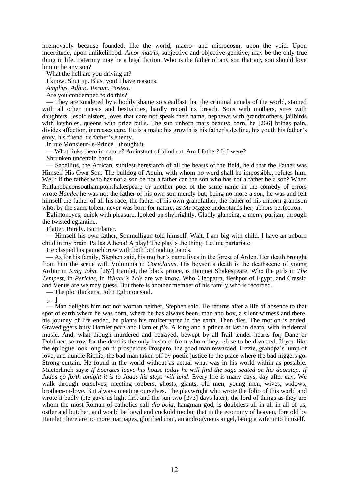irremovably because founded, like the world, macro- and microcosm, upon the void. Upon incertitude, upon unlikelihood. *Amor matris*, subjective and objective genitive, may be the only true thing in life. Paternity may be a legal fiction. Who is the father of any son that any son should love him or he any son?

What the hell are you driving at?

I know. Shut up. Blast you! I have reasons.

*Amplius. Adhuc. Iterum. Postea*.

Are you condemned to do this?

— They are sundered by a bodily shame so steadfast that the criminal annals of the world, stained with all other incests and bestialities, hardly record its breach. Sons with mothers, sires with daughters, lesbic sisters, loves that dare not speak their name, nephews with grandmothers, jailbirds with keyholes, queens with prize bulls. The sun unborn mars beauty: born, he [266] brings pain, divides affection, increases care. He is a male: his growth is his father's decline, his youth his father's envy, his friend his father's enemy.

In rue Monsieur-le-Prince I thought it.

— What links them in nature? An instant of blind rut. Am I father? If I were?

Shrunken uncertain hand.

— Sabellius, the African, subtlest heresiarch of all the beasts of the field, held that the Father was Himself His Own Son. The bulldog of Aquin, with whom no word shall be impossible, refutes him. Well: if the father who has not a son be not a father can the son who has not a father be a son? When Rutlandbaconsouthamptonshakespeare or another poet of the same name in the comedy of errors wrote *Hamlet* he was not the father of his own son merely but, being no more a son, he was and felt himself the father of all his race, the father of his own grandfather, the father of his unborn grandson who, by the same token, never was born for nature, as Mr Magee understands her, abhors perfection.

Eglintoneyes, quick with pleasure, looked up shybrightly. Gladly glancing, a merry puritan, through the twisted eglantine.

Flatter. Rarely. But Flatter.

— Himself his own father, Sonmulligan told himself. Wait. I am big with child. I have an unborn child in my brain. Pallas Athena! A play! The play's the thing! Let me parturiate!

He clasped his paunchbrow with both birthaiding hands.

— As for his family, Stephen said, his mother's name lives in the forest of Arden. Her death brought from him the scene with Volumnia in *Coriolanus*. His boyson's death is the deathscene of young Arthur in *King John*. [267] Hamlet, the black prince, is Hamnet Shakespeare. Who the girls in *The Tempest*, in *Pericles*, in *Winter's Tale* are we know. Who Cleopatra, fleshpot of Egypt, and Cressid and Venus are we may guess. But there is another member of his family who is recorded.

— The plot thickens, John Eglinton said.

[…]

— Man delights him not nor woman neither, Stephen said. He returns after a life of absence to that spot of earth where he was born, where he has always been, man and boy, a silent witness and there, his journey of life ended, he plants his mulberrytree in the earth. Then dies. The motion is ended. Gravediggers bury Hamlet *père* and Hamlet *fils*. A king and a prince at last in death, with incidental music. And, what though murdered and betrayed, bewept by all frail tender hearts for, Dane or Dubliner, sorrow for the dead is the only husband from whom they refuse to be divorced. If you like the epilogue look long on it: prosperous Prospero, the good man rewarded, Lizzie, grandpa's lump of love, and nuncle Richie, the bad man taken off by poetic justice to the place where the bad niggers go. Strong curtain. He found in the world without as actual what was in his world within as possible. Maeterlinck says: *If Socrates leave his house today he will find the sage seated on his doorstep. If Judas go forth tonight it is to Judas his steps will tend*. Every life is many days, day after day. We walk through ourselves, meeting robbers, ghosts, giants, old men, young men, wives, widows, brothers-in-love. But always meeting ourselves. The playwright who wrote the folio of this world and wrote it badly (He gave us light first and the sun two [273] days later), the lord of things as they are whom the most Roman of catholics call *dio boia*, hangman god, is doubtless all in all in all of us, ostler and butcher, and would be bawd and cuckold too but that in the economy of heaven, foretold by Hamlet, there are no more marriages, glorified man, an androgynous angel, being a wife unto himself.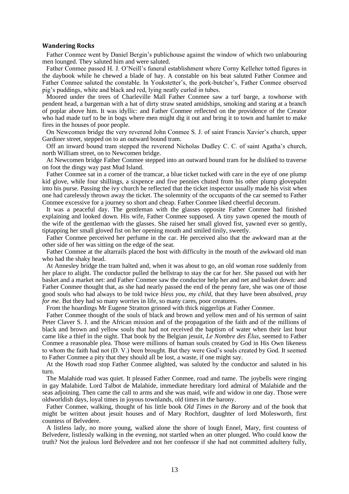### **Wandering Rocks**

Father Conmee went by Daniel Bergin's publichouse against the window of which two unlabouring men lounged. They saluted him and were saluted.

Father Conmee passed H. J. O'Neill's funeral establishment where Corny Kelleher totted figures in the daybook while he chewed a blade of hay. A constable on his beat saluted Father Conmee and Father Conmee saluted the constable. In Youkstetter's, the pork-butcher's, Father Conmee observed pig's puddings, white and black and red, lying neatly curled in tubes.

Moored under the trees of Charleville Mall Father Conmee saw a turf barge, a towhorse with pendent head, a bargeman with a hat of dirty straw seated amidships, smoking and staring at a branch of poplar above him. It was idyllic: and Father Conmee reflected on the providence of the Creator who had made turf to be in bogs where men might dig it out and bring it to town and hamlet to make fires in the houses of poor people.

On Newcomen bridge the very reverend John Conmee S. J. of saint Francis Xavier's church, upper Gardiner street, stepped on to an outward bound tram.

Off an inward bound tram stepped the reverend Nicholas Dudley C. C. of saint Agatha's church, north William street, on to Newcomen bridge.

At Newcomen bridge Father Conmee stepped into an outward bound tram for he disliked to traverse on foot the dingy way past Mud Island.

Father Conmee sat in a corner of the tramcar, a blue ticket tucked with care in the eye of one plump kid glove, while four shillings, a sixpence and five pennies chuted from his other plump glovepalm into his purse. Passing the ivy church he reflected that the ticket inspector usually made his visit when one had carelessly thrown away the ticket. The solemnity of the occupants of the car seemed to Father Conmee excessive for a journey so short and cheap. Father Conmee liked cheerful decorum.

It was a peaceful day. The gentleman with the glasses opposite Father Conmee had finished explaining and looked down. His wife, Father Conmee supposed. A tiny yawn opened the mouth of the wife of the gentleman with the glasses. She raised her small gloved fist, yawned ever so gently, tiptapping her small gloved fist on her opening mouth and smiled tinily, sweetly.

Father Conmee perceived her perfume in the car. He perceived also that the awkward man at the other side of her was sitting on the edge of the seat.

Father Conmee at the altarrails placed the host with difficulty in the mouth of the awkward old man who had the shaky head.

At Annesley bridge the tram halted and, when it was about to go, an old woman rose suddenly from her place to alight. The conductor pulled the bellstrap to stay the car for her. She passed out with her basket and a market net: and Father Conmee saw the conductor help her and net and basket down: and Father Conmee thought that, as she had nearly passed the end of the penny fare, she was one of those good souls who had always to be told twice *bless you, my child*, that they have been absolved, *pray for me*. But they had so many worries in life, so many cares, poor creatures.

From the hoardings Mr Eugene Stratton grinned with thick niggerlips at Father Conmee.

Father Conmee thought of the souls of black and brown and yellow men and of his sermon of saint Peter Claver S. J. and the African mission and of the propagation of the faith and of the millions of black and brown and yellow souls that had not received the baptism of water when their last hour came like a thief in the night. That book by the Belgian jesuit, *Le Nombre des Élus*, seemed to Father Conmee a reasonable plea. Those were millions of human souls created by God in His Own likeness to whom the faith had not (D. V.) been brought. But they were God's souls created by God. It seemed to Father Conmee a pity that they should all be lost, a waste, if one might say.

At the Howth road stop Father Conmee alighted, was saluted by the conductor and saluted in his turn.

The Malahide road was quiet. It pleased Father Conmee, road and name. The joybells were ringing in gay Malahide. Lord Talbot de Malahide, immediate hereditary lord admiral of Malahide and the seas adjoining. Then came the call to arms and she was maid, wife and widow in one day. Those were oldworldish days, loyal times in joyous townlands, old times in the barony.

Father Conmee, walking, thought of his little book *Old Times in the Barony* and of the book that might be written about jesuit houses and of Mary Rochfort, daughter of lord Molesworth, first countess of Belvedere.

A listless lady, no more young, walked alone the shore of lough Ennel, Mary, first countess of Belvedere, listlessly walking in the evening, not startled when an otter plunged. Who could know the truth? Not the jealous lord Belvedere and not her confessor if she had not committed adultery fully,